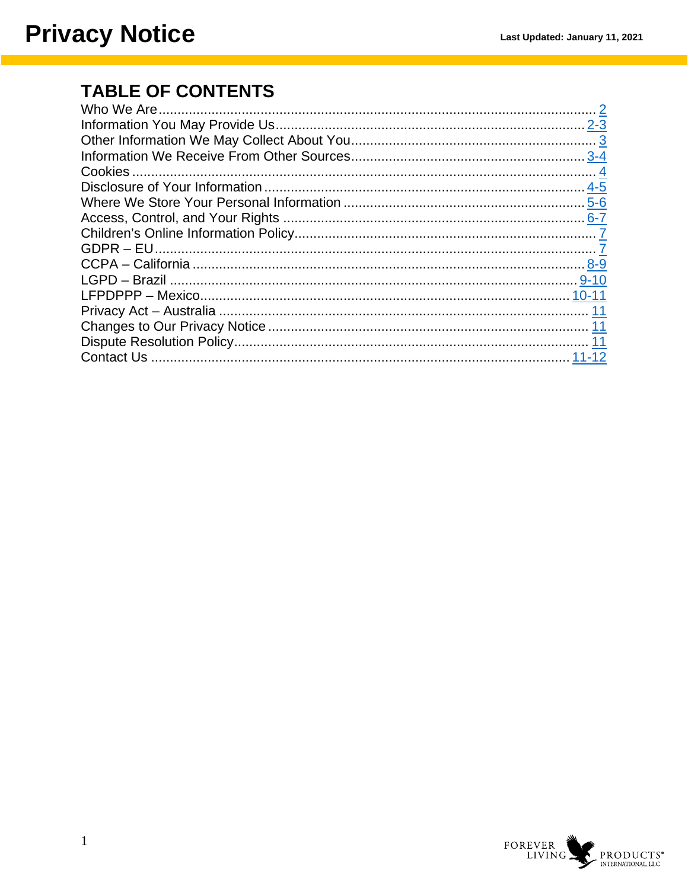## **TABLE OF CONTENTS**

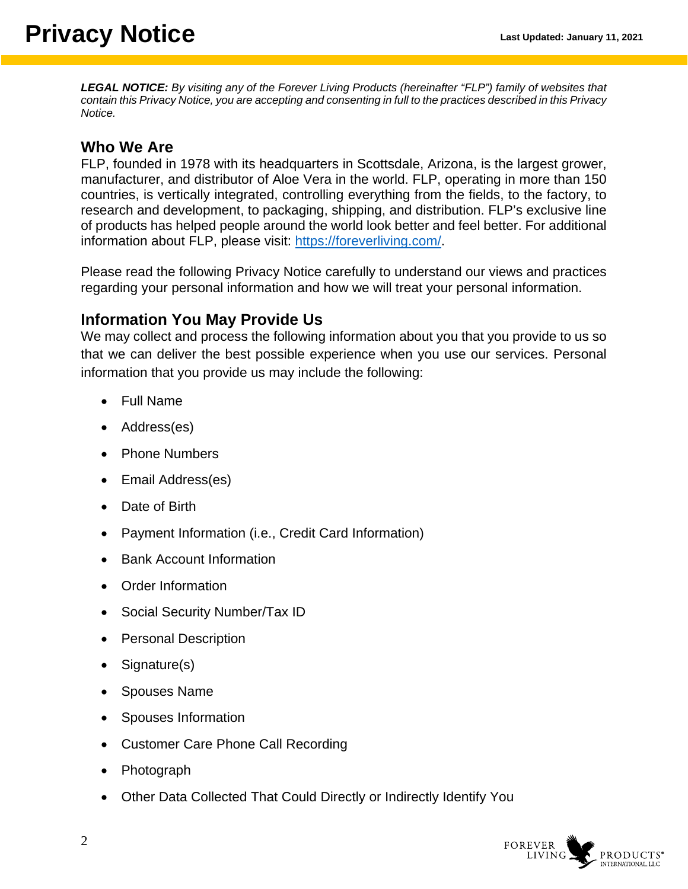*LEGAL NOTICE: By visiting any of the Forever Living Products (hereinafter "FLP") family of websites that contain this Privacy Notice, you are accepting and consenting in full to the practices described in this Privacy Notice.*

#### <span id="page-1-0"></span>**Who We Are**

FLP, founded in 1978 with its headquarters in Scottsdale, Arizona, is the largest grower, manufacturer, and distributor of Aloe Vera in the world. FLP, operating in more than 150 countries, is vertically integrated, controlling everything from the fields, to the factory, to research and development, to packaging, shipping, and distribution. FLP's exclusive line of products has helped people around the world look better and feel better. For additional information about FLP, please visit: [https://foreverliving.com/.](https://foreverliving.com/)

Please read the following Privacy Notice carefully to understand our views and practices regarding your personal information and how we will treat your personal information.

### <span id="page-1-1"></span>**Information You May Provide Us**

We may collect and process the following information about you that you provide to us so that we can deliver the best possible experience when you use our services. Personal information that you provide us may include the following:

- Full Name
- Address(es)
- Phone Numbers
- Email Address(es)
- Date of Birth
- Payment Information (i.e., Credit Card Information)
- Bank Account Information
- Order Information
- Social Security Number/Tax ID
- Personal Description
- Signature(s)
- Spouses Name
- Spouses Information
- Customer Care Phone Call Recording
- Photograph
- Other Data Collected That Could Directly or Indirectly Identify You

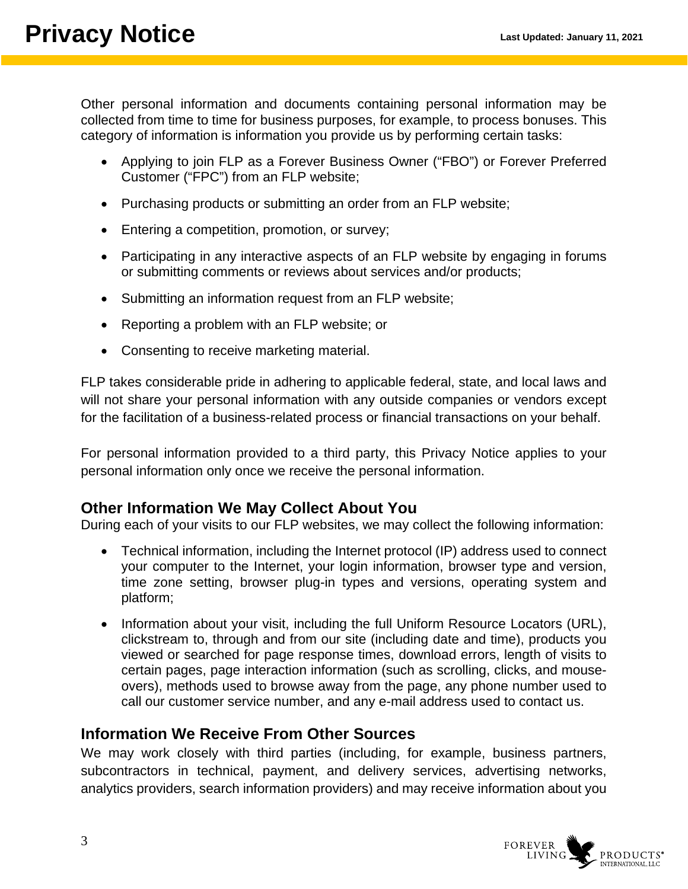Other personal information and documents containing personal information may be collected from time to time for business purposes, for example, to process bonuses. This category of information is information you provide us by performing certain tasks:

- Applying to join FLP as a Forever Business Owner ("FBO") or Forever Preferred Customer ("FPC") from an FLP website;
- Purchasing products or submitting an order from an FLP website;
- Entering a competition, promotion, or survey;
- Participating in any interactive aspects of an FLP website by engaging in forums or submitting comments or reviews about services and/or products;
- Submitting an information request from an FLP website;
- Reporting a problem with an FLP website; or
- Consenting to receive marketing material.

FLP takes considerable pride in adhering to applicable federal, state, and local laws and will not share your personal information with any outside companies or vendors except for the facilitation of a business-related process or financial transactions on your behalf.

For personal information provided to a third party, this Privacy Notice applies to your personal information only once we receive the personal information.

### <span id="page-2-0"></span>**Other Information We May Collect About You**

During each of your visits to our FLP websites, we may collect the following information:

- Technical information, including the Internet protocol (IP) address used to connect your computer to the Internet, your login information, browser type and version, time zone setting, browser plug-in types and versions, operating system and platform;
- Information about your visit, including the full Uniform Resource Locators (URL), clickstream to, through and from our site (including date and time), products you viewed or searched for page response times, download errors, length of visits to certain pages, page interaction information (such as scrolling, clicks, and mouseovers), methods used to browse away from the page, any phone number used to call our customer service number, and any e-mail address used to contact us.

### <span id="page-2-1"></span>**Information We Receive From Other Sources**

We may work closely with third parties (including, for example, business partners, subcontractors in technical, payment, and delivery services, advertising networks, analytics providers, search information providers) and may receive information about you

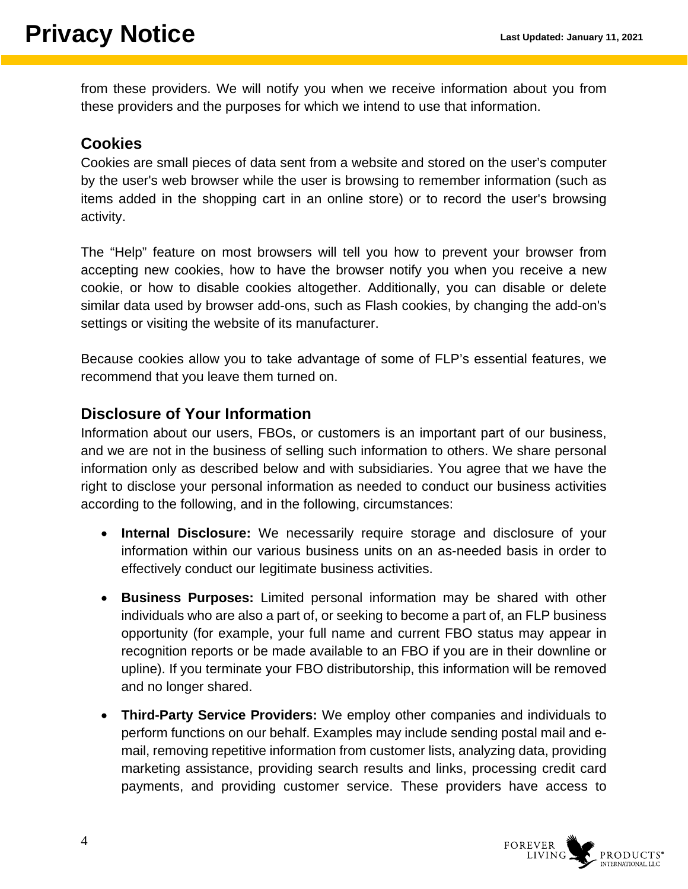from these providers. We will notify you when we receive information about you from these providers and the purposes for which we intend to use that information.

### <span id="page-3-0"></span>**Cookies**

Cookies are small pieces of data sent from a website and stored on the user's computer by the user's web browser while the user is browsing to remember information (such as items added in the shopping cart in an online store) or to record the user's browsing activity.

The "Help" feature on most browsers will tell you how to prevent your browser from accepting new cookies, how to have the browser notify you when you receive a new cookie, or how to disable cookies altogether. Additionally, you can disable or delete similar data used by browser add-ons, such as Flash cookies, by changing the add-on's settings or visiting the website of its manufacturer.

Because cookies allow you to take advantage of some of FLP's essential features, we recommend that you leave them turned on.

### <span id="page-3-1"></span>**Disclosure of Your Information**

Information about our users, FBOs, or customers is an important part of our business, and we are not in the business of selling such information to others. We share personal information only as described below and with subsidiaries. You agree that we have the right to disclose your personal information as needed to conduct our business activities according to the following, and in the following, circumstances:

- **Internal Disclosure:** We necessarily require storage and disclosure of your information within our various business units on an as-needed basis in order to effectively conduct our legitimate business activities.
- **Business Purposes:** Limited personal information may be shared with other individuals who are also a part of, or seeking to become a part of, an FLP business opportunity (for example, your full name and current FBO status may appear in recognition reports or be made available to an FBO if you are in their downline or upline). If you terminate your FBO distributorship, this information will be removed and no longer shared.
- **Third-Party Service Providers:** We employ other companies and individuals to perform functions on our behalf. Examples may include sending postal mail and email, removing repetitive information from customer lists, analyzing data, providing marketing assistance, providing search results and links, processing credit card payments, and providing customer service. These providers have access to

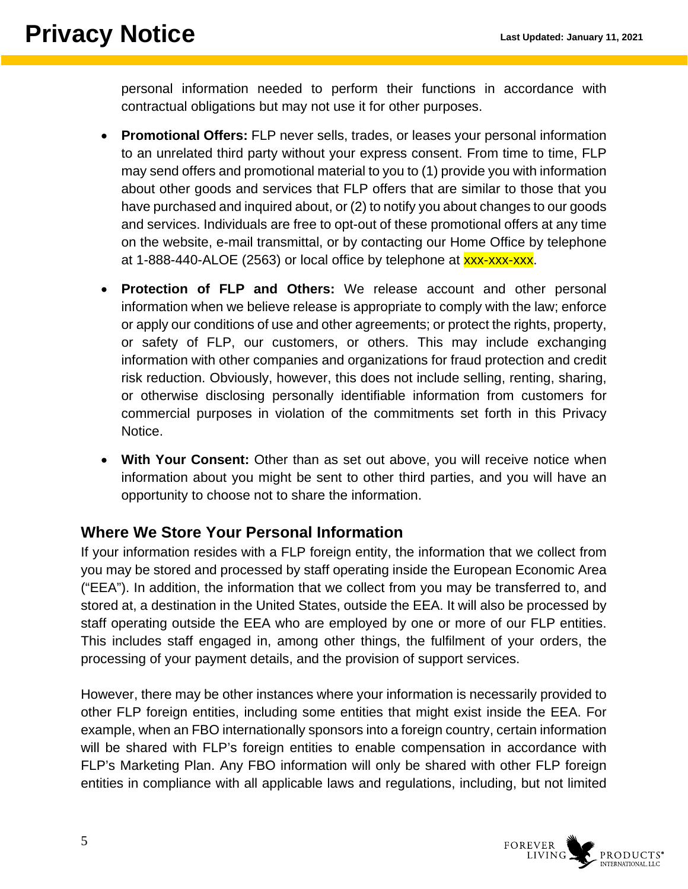personal information needed to perform their functions in accordance with contractual obligations but may not use it for other purposes.

- **Promotional Offers:** FLP never sells, trades, or leases your personal information to an unrelated third party without your express consent. From time to time, FLP may send offers and promotional material to you to (1) provide you with information about other goods and services that FLP offers that are similar to those that you have purchased and inquired about, or (2) to notify you about changes to our goods and services. Individuals are free to opt-out of these promotional offers at any time on the website, e-mail transmittal, or by contacting our Home Office by telephone at 1-888-440-ALOE (2563) or local office by telephone at **xxx-xxx-xxx**.
- **Protection of FLP and Others:** We release account and other personal information when we believe release is appropriate to comply with the law; enforce or apply our conditions of use and other agreements; or protect the rights, property, or safety of FLP, our customers, or others. This may include exchanging information with other companies and organizations for fraud protection and credit risk reduction. Obviously, however, this does not include selling, renting, sharing, or otherwise disclosing personally identifiable information from customers for commercial purposes in violation of the commitments set forth in this Privacy Notice.
- **With Your Consent:** Other than as set out above, you will receive notice when information about you might be sent to other third parties, and you will have an opportunity to choose not to share the information.

### <span id="page-4-0"></span>**Where We Store Your Personal Information**

If your information resides with a FLP foreign entity, the information that we collect from you may be stored and processed by staff operating inside the European Economic Area ("EEA"). In addition, the information that we collect from you may be transferred to, and stored at, a destination in the United States, outside the EEA. It will also be processed by staff operating outside the EEA who are employed by one or more of our FLP entities. This includes staff engaged in, among other things, the fulfilment of your orders, the processing of your payment details, and the provision of support services.

However, there may be other instances where your information is necessarily provided to other FLP foreign entities, including some entities that might exist inside the EEA. For example, when an FBO internationally sponsors into a foreign country, certain information will be shared with FLP's foreign entities to enable compensation in accordance with FLP's Marketing Plan. Any FBO information will only be shared with other FLP foreign entities in compliance with all applicable laws and regulations, including, but not limited

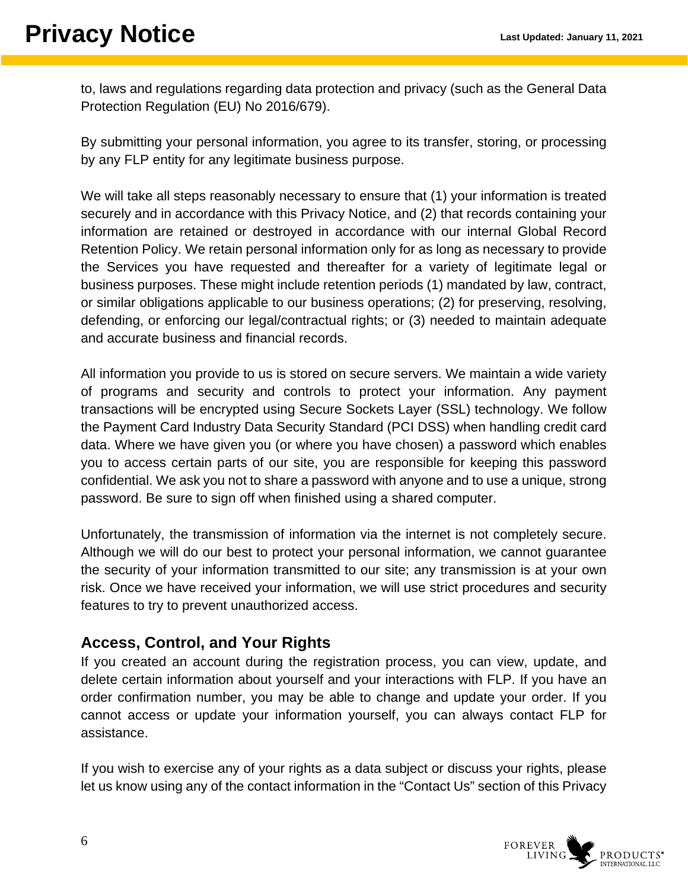to, laws and regulations regarding data protection and privacy (such as the General Data Protection Regulation (EU) No 2016/679).

By submitting your personal information, you agree to its transfer, storing, or processing by any FLP entity for any legitimate business purpose.

We will take all steps reasonably necessary to ensure that (1) your information is treated securely and in accordance with this Privacy Notice, and (2) that records containing your information are retained or destroyed in accordance with our internal Global Record Retention Policy. We retain personal information only for as long as necessary to provide the Services you have requested and thereafter for a variety of legitimate legal or business purposes. These might include retention periods (1) mandated by law, contract, or similar obligations applicable to our business operations; (2) for preserving, resolving, defending, or enforcing our legal/contractual rights; or (3) needed to maintain adequate and accurate business and financial records.

All information you provide to us is stored on secure servers. We maintain a wide variety of programs and security and controls to protect your information. Any payment transactions will be encrypted using Secure Sockets Layer (SSL) technology. We follow the Payment Card Industry Data Security Standard (PCI DSS) when handling credit card data. Where we have given you (or where you have chosen) a password which enables you to access certain parts of our site, you are responsible for keeping this password confidential. We ask you not to share a password with anyone and to use a unique, strong password. Be sure to sign off when finished using a shared computer.

Unfortunately, the transmission of information via the internet is not completely secure. Although we will do our best to protect your personal information, we cannot guarantee the security of your information transmitted to our site; any transmission is at your own risk. Once we have received your information, we will use strict procedures and security features to try to prevent unauthorized access.

### <span id="page-5-0"></span>**Access, Control, and Your Rights**

If you created an account during the registration process, you can view, update, and delete certain information about yourself and your interactions with FLP. If you have an order confirmation number, you may be able to change and update your order. If you cannot access or update your information yourself, you can always contact FLP for assistance.

If you wish to exercise any of your rights as a data subject or discuss your rights, please let us know using any of the contact information in the "Contact Us" section of this Privacy

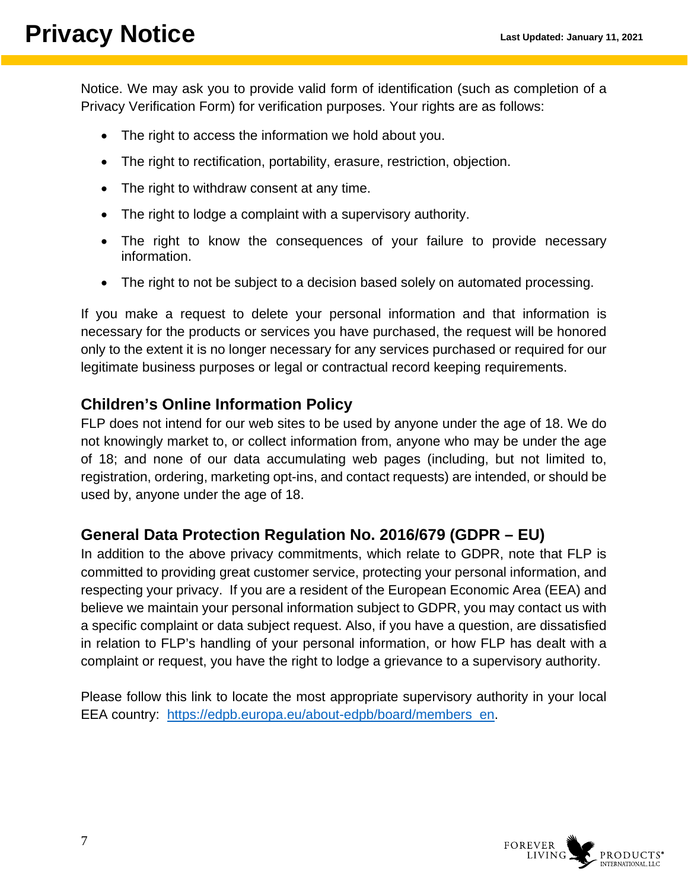Notice. We may ask you to provide valid form of identification (such as completion of a Privacy Verification Form) for verification purposes. Your rights are as follows:

- The right to access the information we hold about you.
- The right to rectification, portability, erasure, restriction, objection.
- The right to withdraw consent at any time.
- The right to lodge a complaint with a supervisory authority.
- The right to know the consequences of your failure to provide necessary information.
- The right to not be subject to a decision based solely on automated processing.

If you make a request to delete your personal information and that information is necessary for the products or services you have purchased, the request will be honored only to the extent it is no longer necessary for any services purchased or required for our legitimate business purposes or legal or contractual record keeping requirements.

### <span id="page-6-0"></span>**Children's Online Information Policy**

FLP does not intend for our web sites to be used by anyone under the age of 18. We do not knowingly market to, or collect information from, anyone who may be under the age of 18; and none of our data accumulating web pages (including, but not limited to, registration, ordering, marketing opt-ins, and contact requests) are intended, or should be used by, anyone under the age of 18.

### <span id="page-6-1"></span>**General Data Protection Regulation No. 2016/679 (GDPR – EU)**

In addition to the above privacy commitments, which relate to GDPR, note that FLP is committed to providing great customer service, protecting your personal information, and respecting your privacy. If you are a resident of the European Economic Area (EEA) and believe we maintain your personal information subject to GDPR, you may contact us with a specific complaint or data subject request. Also, if you have a question, are dissatisfied in relation to FLP's handling of your personal information, or how FLP has dealt with a complaint or request, you have the right to lodge a grievance to a supervisory authority.

Please follow this link to locate the most appropriate supervisory authority in your local EEA country: [https://edpb.europa.eu/about-edpb/board/members\\_en.](https://edpb.europa.eu/about-edpb/board/members_en)

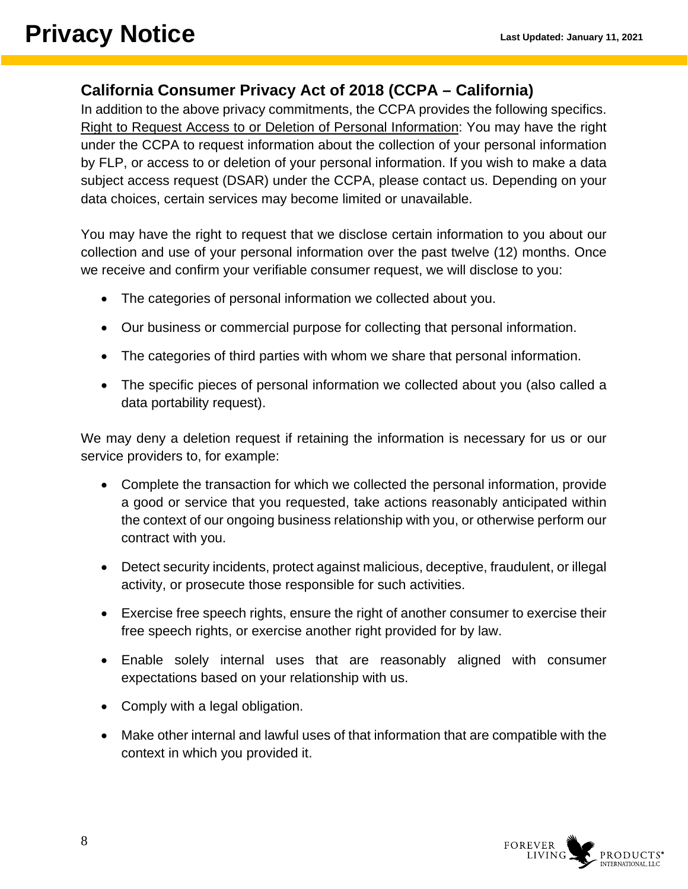### **California Consumer Privacy Act of 2018 (CCPA – California)**

In addition to the above privacy commitments, the CCPA provides the following specifics. Right to Request Access to or Deletion of Personal Information: You may have the right under the CCPA to request information about the collection of your personal information by FLP, or access to or deletion of your personal information. If you wish to make a data subject access request (DSAR) under the CCPA, please contact us. Depending on your data choices, certain services may become limited or unavailable.

You may have the right to request that we disclose certain information to you about our collection and use of your personal information over the past twelve (12) months. Once we receive and confirm your verifiable consumer request, we will disclose to you:

- The categories of personal information we collected about you.
- Our business or commercial purpose for collecting that personal information.
- The categories of third parties with whom we share that personal information.
- The specific pieces of personal information we collected about you (also called a data portability request).

We may deny a deletion request if retaining the information is necessary for us or our service providers to, for example:

- Complete the transaction for which we collected the personal information, provide a good or service that you requested, take actions reasonably anticipated within the context of our ongoing business relationship with you, or otherwise perform our contract with you.
- Detect security incidents, protect against malicious, deceptive, fraudulent, or illegal activity, or prosecute those responsible for such activities.
- Exercise free speech rights, ensure the right of another consumer to exercise their free speech rights, or exercise another right provided for by law.
- Enable solely internal uses that are reasonably aligned with consumer expectations based on your relationship with us.
- Comply with a legal obligation.
- Make other internal and lawful uses of that information that are compatible with the context in which you provided it.

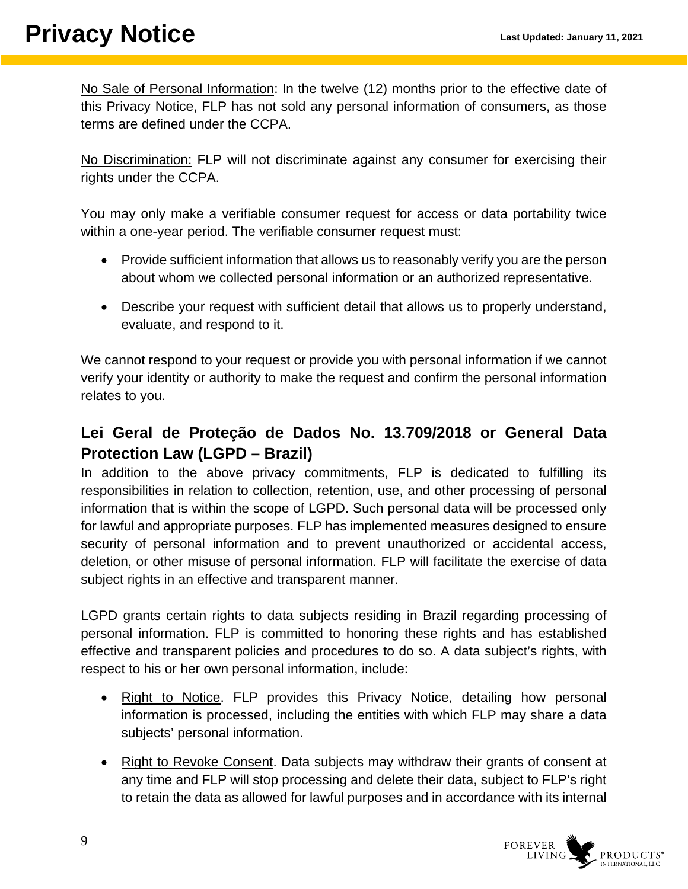No Sale of Personal Information: In the twelve (12) months prior to the effective date of this Privacy Notice, FLP has not sold any personal information of consumers, as those terms are defined under the CCPA.

No Discrimination: FLP will not discriminate against any consumer for exercising their rights under the CCPA.

You may only make a verifiable consumer request for access or data portability twice within a one-year period. The verifiable consumer request must:

- Provide sufficient information that allows us to reasonably verify you are the person about whom we collected personal information or an authorized representative.
- Describe your request with sufficient detail that allows us to properly understand, evaluate, and respond to it.

We cannot respond to your request or provide you with personal information if we cannot verify your identity or authority to make the request and confirm the personal information relates to you.

### <span id="page-8-0"></span>**Lei Geral de Proteção de Dados No. 13.709/2018 or General Data Protection Law (LGPD – Brazil)**

In addition to the above privacy commitments, FLP is dedicated to fulfilling its responsibilities in relation to collection, retention, use, and other processing of personal information that is within the scope of LGPD. Such personal data will be processed only for lawful and appropriate purposes. FLP has implemented measures designed to ensure security of personal information and to prevent unauthorized or accidental access, deletion, or other misuse of personal information. FLP will facilitate the exercise of data subject rights in an effective and transparent manner.

LGPD grants certain rights to data subjects residing in Brazil regarding processing of personal information. FLP is committed to honoring these rights and has established effective and transparent policies and procedures to do so. A data subject's rights, with respect to his or her own personal information, include:

- Right to Notice. FLP provides this Privacy Notice, detailing how personal information is processed, including the entities with which FLP may share a data subjects' personal information.
- Right to Revoke Consent. Data subjects may withdraw their grants of consent at any time and FLP will stop processing and delete their data, subject to FLP's right to retain the data as allowed for lawful purposes and in accordance with its internal

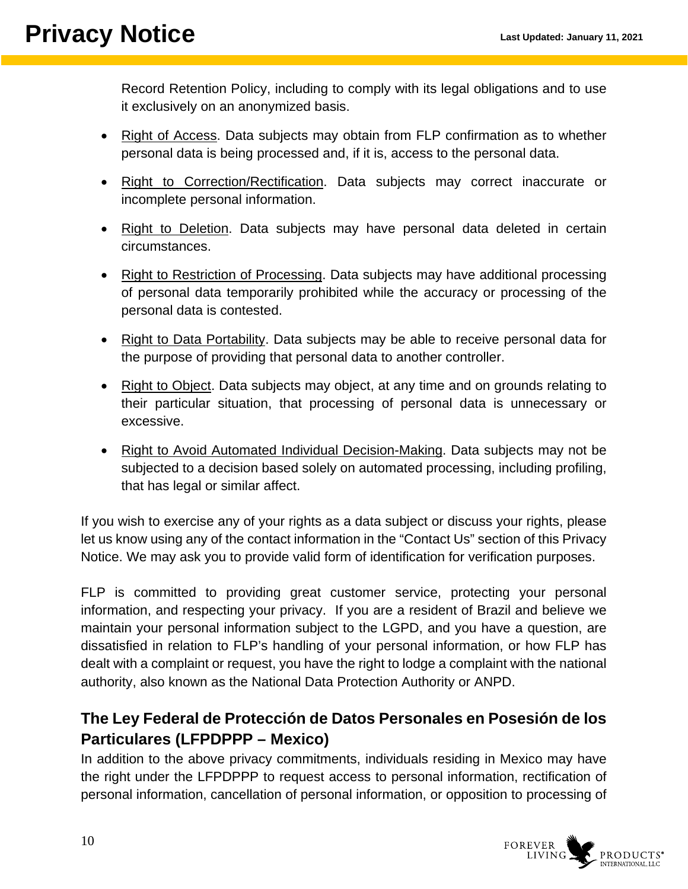Record Retention Policy, including to comply with its legal obligations and to use it exclusively on an anonymized basis.

- Right of Access. Data subjects may obtain from FLP confirmation as to whether personal data is being processed and, if it is, access to the personal data.
- Right to Correction/Rectification. Data subjects may correct inaccurate or incomplete personal information.
- Right to Deletion. Data subjects may have personal data deleted in certain circumstances.
- Right to Restriction of Processing. Data subjects may have additional processing of personal data temporarily prohibited while the accuracy or processing of the personal data is contested.
- Right to Data Portability. Data subjects may be able to receive personal data for the purpose of providing that personal data to another controller.
- Right to Object. Data subjects may object, at any time and on grounds relating to their particular situation, that processing of personal data is unnecessary or excessive.
- Right to Avoid Automated Individual Decision-Making. Data subjects may not be subjected to a decision based solely on automated processing, including profiling, that has legal or similar affect.

If you wish to exercise any of your rights as a data subject or discuss your rights, please let us know using any of the contact information in the "Contact Us" section of this Privacy Notice. We may ask you to provide valid form of identification for verification purposes.

FLP is committed to providing great customer service, protecting your personal information, and respecting your privacy. If you are a resident of Brazil and believe we maintain your personal information subject to the LGPD, and you have a question, are dissatisfied in relation to FLP's handling of your personal information, or how FLP has dealt with a complaint or request, you have the right to lodge a complaint with the national authority, also known as the National Data Protection Authority or ANPD.

### <span id="page-9-0"></span>**The Ley Federal de Protección de Datos Personales en Posesión de los Particulares (LFPDPPP – Mexico)**

In addition to the above privacy commitments, individuals residing in Mexico may have the right under the LFPDPPP to request access to personal information, rectification of personal information, cancellation of personal information, or opposition to processing of

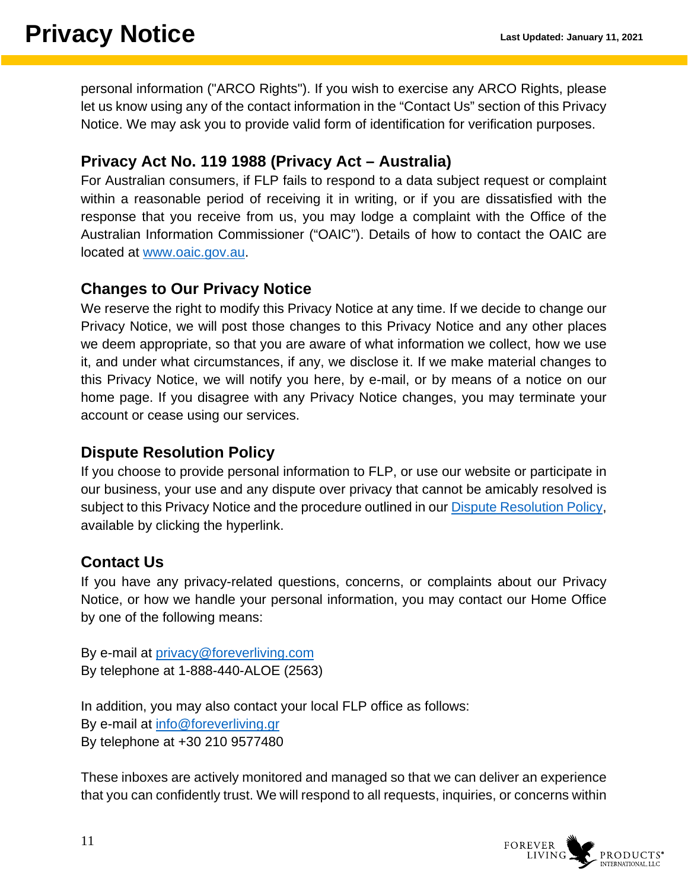personal information ("ARCO Rights"). If you wish to exercise any ARCO Rights, please let us know using any of the contact information in the "Contact Us" section of this Privacy Notice. We may ask you to provide valid form of identification for verification purposes.

### <span id="page-10-0"></span>**Privacy Act No. 119 1988 (Privacy Act – Australia)**

For Australian consumers, if FLP fails to respond to a data subject request or complaint within a reasonable period of receiving it in writing, or if you are dissatisfied with the response that you receive from us, you may lodge a complaint with the Office of the Australian Information Commissioner ("OAIC"). Details of how to contact the OAIC are located at [www.oaic.gov.au.](http://www.oaic.gov.au/)

### <span id="page-10-1"></span>**Changes to Our Privacy Notice**

We reserve the right to modify this Privacy Notice at any time. If we decide to change our Privacy Notice, we will post those changes to this Privacy Notice and any other places we deem appropriate, so that you are aware of what information we collect, how we use it, and under what circumstances, if any, we disclose it. If we make material changes to this Privacy Notice, we will notify you here, by e-mail, or by means of a notice on our home page. If you disagree with any Privacy Notice changes, you may terminate your account or cease using our services.

### <span id="page-10-2"></span>**Dispute Resolution Policy**

If you choose to provide personal information to FLP, or use our website or participate in our business, your use and any dispute over privacy that cannot be amicably resolved is subject to this Privacy Notice and the procedure outlined in our [Dispute Resolution Policy,](https://cdn.foreverliving.com/content/MarketingConfigurableContent/USA/Dispute%20Resolution%20Document/10%2020%202020%20Dispute%20Resolution%20Policy%20v2.pdf) available by clicking the hyperlink.

### <span id="page-10-3"></span>**Contact Us**

If you have any privacy-related questions, concerns, or complaints about our Privacy Notice, or how we handle your personal information, you may contact our Home Office by one of the following means:

By e-mail at [privacy@foreverliving.com](mailto:privacy@foreverliving.com) By telephone at 1-888-440-ALOE (2563)

In addition, you may also contact your local FLP office as follows: By e-mail at [info@foreverliving.gr](mailto:info@foreverliving.gr) By telephone at +30 210 9577480

These inboxes are actively monitored and managed so that we can deliver an experience that you can confidently trust. We will respond to all requests, inquiries, or concerns within